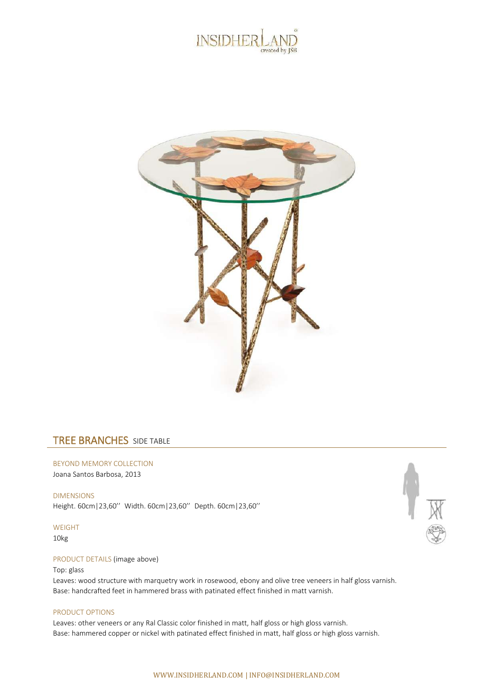



## TREE BRANCHES SIDE TABLE

BEYOND MEMORY COLLECTION Joana Santos Barbosa, 2013

DIMENSIONS Height. 60cm|23,60'' Width. 60cm|23,60'' Depth. 60cm|23,60''

WEIGHT

10kg

## PRODUCT DETAILS (image above)

## Top: glass

Leaves: wood structure with marquetry work in rosewood, ebony and olive tree veneers in half gloss varnish. Base: handcrafted feet in hammered brass with patinated effect finished in matt varnish.

## PRODUCT OPTIONS

Leaves: other veneers or any Ral Classic color finished in matt, half gloss or high gloss varnish. Base: hammered copper or nickel with patinated effect finished in matt, half gloss or high gloss varnish.